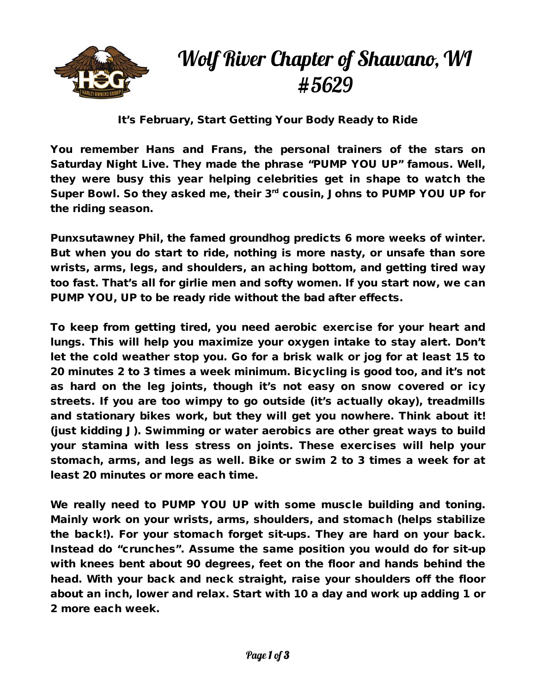

## Wolf River Chapter of Shawano, WI #5629

It's February, Start Getting Your Body Ready to Ride

You remember Hans and Frans, the personal trainers of the stars on Saturday Night Live. They made the phrase "PUMP YOU UP" famous. Well, they were busy this year helping celebrities get in shape to watch the Super Bowl. So they asked me, their 3<sup>rd</sup> cousin, Johns to PUMP YOU UP for the riding season.

Punxsutawney Phil, the famed groundhog predicts 6 more weeks of winter. But when you do start to ride, nothing is more nasty, or unsafe than sore wrists, arms, legs, and shoulders, an aching bottom, and getting tired way too fast. That's all for girlie men and softy women. If you start now, we can PUMP YOU, UP to be ready ride without the bad after effects.

To keep from getting tired, you need aerobic exercise for your heart and lungs. This will help you maximize your oxygen intake to stay alert. Don't let the cold weather stop you. Go for a brisk walk or jog for at least 15 to 20 minutes 2 to 3 times a week minimum. Bicycling is good too, and it's not as hard on the leg joints, though it's not easy on snow covered or icy streets. If you are too wimpy to go outside (it's actually okay), treadmills and stationary bikes work, but they will get you nowhere. Think about it! (just kidding J). Swimming or water aerobics are other great ways to build your stamina with less stress on joints. These exercises will help your stomach, arms, and legs as well. Bike or swim 2 to 3 times a week for at least 20 minutes or more each time.

We really need to PUMP YOU UP with some muscle building and toning. Mainly work on your wrists, arms, shoulders, and stomach (helps stabilize the back!). For your stomach forget sit-ups. They are hard on your back. Instead do "crunches". Assume the same position you would do for sit-up with knees bent about 90 degrees, feet on the floor and hands behind the head. With your back and neck straight, raise your shoulders off the floor about an inch, lower and relax. Start with 10 a day and work up adding 1 or 2 more each week.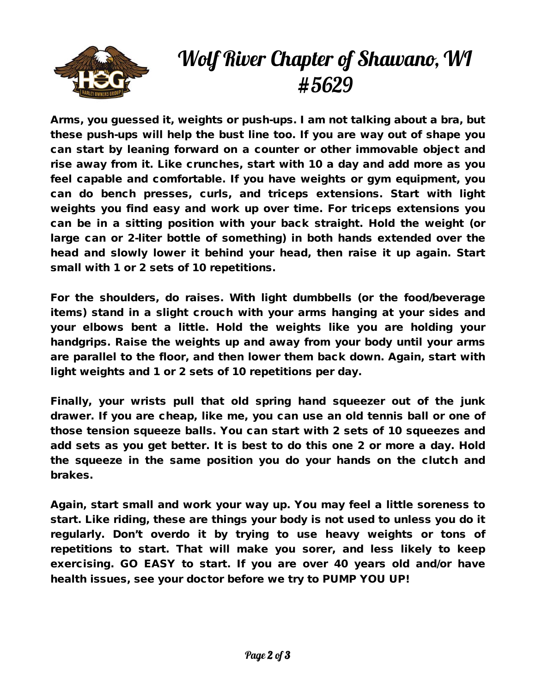

## Wolf River Chapter of Shawano, WI #5629

Arms, you guessed it, weights or push-ups. I am not talking about a bra, but these push-ups will help the bust line too. If you are way out of shape you can start by leaning forward on a counter or other immovable object and rise away from it. Like crunches, start with 10 a day and add more as you feel capable and comfortable. If you have weights or gym equipment, you can do bench presses, curls, and triceps extensions. Start with light weights you find easy and work up over time. For triceps extensions you can be in a sitting position with your back straight. Hold the weight (or large can or 2-liter bottle of something) in both hands extended over the head and slowly lower it behind your head, then raise it up again. Start small with 1 or 2 sets of 10 repetitions.

For the shoulders, do raises. With light dumbbells (or the food/beverage items) stand in a slight crouch with your arms hanging at your sides and your elbows bent a little. Hold the weights like you are holding your handgrips. Raise the weights up and away from your body until your arms are parallel to the floor, and then lower them back down. Again, start with light weights and 1 or 2 sets of 10 repetitions per day.

Finally, your wrists pull that old spring hand squeezer out of the junk drawer. If you are cheap, like me, you can use an old tennis ball or one of those tension squeeze balls. You can start with 2 sets of 10 squeezes and add sets as you get better. It is best to do this one 2 or more a day. Hold the squeeze in the same position you do your hands on the clutch and brakes.

Again, start small and work your way up. You may feel a little soreness to start. Like riding, these are things your body is not used to unless you do it regularly. Don't overdo it by trying to use heavy weights or tons of repetitions to start. That will make you sorer, and less likely to keep exercising. GO EASY to start. If you are over 40 years old and/or have health issues, see your doctor before we try to PUMP YOU UP!